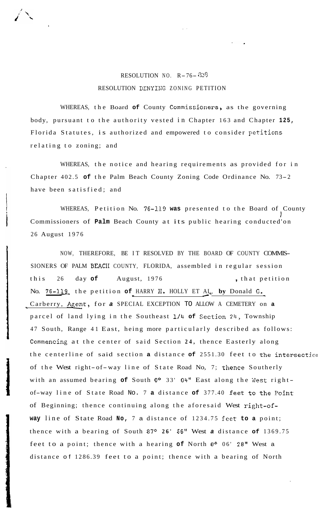## RESOLUTION NO. R-76- *<sup>828</sup>* RESOLUTION DENYING ZONING PETITION

**1** 

WHEREAS, the Board **of** County Commissioners, as the governing body, pursuant to the authority vested in Chapter 163 and Chapter **125,**  Florida Statutes, is authorized and empowered to consider petitions relating to zoning; and

WHEREAS, the notice and hearing requirements as provided for in Chapter 402.5 **of** the Palm Beach County Zoning Code Ordinance No. 73-2 have been satisfied; and

WHEREAS, Petition No. **76-119 was** presented to the Board of County 1 Commissioners of **Palm** Beach County at its public hearing conducted'on 26 August 1976

NOW, THEREFORE, BE IT RESOLVED BY THE BOARD OF COUNTY COMMIS-SIONERS OF PALM BEACH COUNTY, FLORIDA, assembled in regular session this 26 day of August, 1976 , that petition No. 76-119 the petition of HARRY **H.** HOLLY ET AL, by Donald G. Carberry, Agent, for *a* SPECIAL EXCEPTION TO ALLOW A CEMETERY on **a**  parcel of land lying in the Southeast 1/4 of Section 24, Township 47 South, Range 41 East, heing more particularly described as follows: Commencing at the center of said Section **24,** thence Easterly along the centerline of said section **a** distance **of** 2551.30 feet to the intepsectioi of the West right-of-way line of State Road No, 7; thence Southerly with an assumed bearing **of** South **Oo** 33' 04" East along the Vest rightof-way line of State Road No. 7 **a** distance **of** 377.40 feet **to** the Point of Beginning; thence continuing along the aforesaid West right-of**way** line of State Road **No,** 7 a distance of 1234.75 feet **to a** point; thence with a bearing of South 87O **26'** 56" West *a* distance **of** 1369.75 feet to a point; thence with a hearing **of** North **Oo** 06' 28" West a distance of 1286.39 feet to a point; thence with a bearing of North